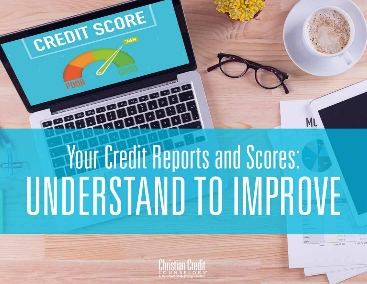CREDIT SCORE

# **Your Credit Reports and Scores:** UNDERSTAND TO IMPROVE

ML

**LEGENE** 

2205,00 1919

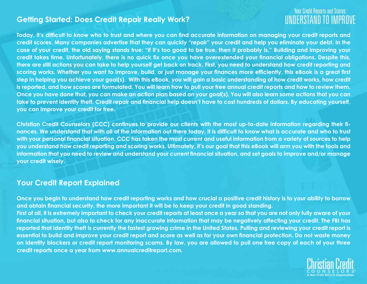#### **Getting Started: Does Credit Repair Really Work?**

### **Your Credit Reports and Scores:** UNDERSTAND TO IMPROVE

**Today, it's difficult to know who to trust and where you can find accurate information on managing your credit reports and credit scores. Many companies advertise that they can quickly "repair" your credit and help you eliminate your debt. In the case of your credit, the old saying stands true: "if it's too good to be true, then it probably is." Building and improving your credit takes time. Unfortunately, there is no quick fix once you have overextended your financial obligations. Despite this, there are still actions you can take to help yourself get back on track. First, you need to understand how credit reporting and scoring works. Whether you want to improve, build, or just manage your finances more efficiently, this eBook is a great first step in helping you achieve your goal(s). With this eBook, you will gain a basic understanding of how credit works, how credit is reported, and how scores are formulated. You will learn how to pull your free annual credit reports and how to review them. Once you have done that, you can make an action plan based on your goal(s). You will also learn some actions that you can take to prevent identity theft. Credit repair and financial help doesn't have to cost hundreds of dollars. By educating yourself, you can improve your credit for free.**

**Christian Credit Counselors (CCC) continues to provide our clients with the most up-to-date information regarding their finances. We understand that with all of the information out there today, it is difficult to know what is accurate and who to trust with your personal financial situation. CCC has taken the most current and useful information from a variety of sources to help you understand how credit reporting and scoring works. Ultimately, it's our goal that this eBook will arm you with the tools and information that you need to review and understand your current financial situation, and set goals to improve and/or manage your credit wisely.**

#### **Your Credit Report Explained**

**Once you begin to understand how credit reporting works and how crucial a positive credit history is to your ability to borrow and obtain financial security, the more important it will be to keep your credit in good standing. First of all, it is extremely important to check your credit reports at least once a year so that you are not only fully aware of your financial situation, but also to check for any inaccurate information that may be negatively affecting your credit. The FBI has reported that identity theft is currently the fastest growing crime in the United States. Pulling and reviewing your credit report is essential to build and improve your credit report and score as well as for your own financial protection. Do not waste money on identity blockers or credit report monitoring scams. By law, you are allowed to pull one free copy of each of your three credit reports once a year from www.annualcreditreport.com.** 

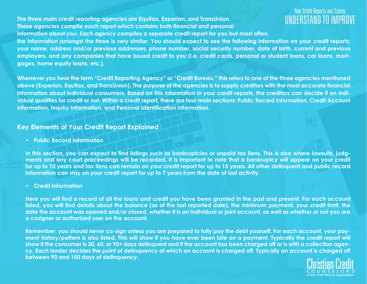**The three main credit reporting agencies are Equifax, Experian, and TransUnion. These agencies compile each report which contains both financial and personal**

### **Your Credit Reports and Scores** UNDERSTAND TO

**information about you. Each agency compiles a separate credit report for you but most often, the information amongst the three is very similar. You should expect to see the following information on your credit reports: your name, address and/or previous addresses, phone number, social security number, date of birth, current and previous employers, and any companies that have issued credit to you (i.e. credit cards, personal or student loans, car loans, mort-**

**gages, home equity loans, etc.).**

**Whenever you hear the term "Credit Reporting Agency" or "Credit Bureau," this refers to one of the three agencies mentioned above (Experian, Equifax, and TransUnion). The purpose of the agencies is to supply creditors with the most accurate financial information about individual consumers. Based on this information in your credit reports, the creditors can decide if an individual qualifies for credit or not. Within a credit report, there are four main sections: Public Record Information, Credit Account Information, Inquiry Information, and Personal Identification Information.** 

#### **Key Elements of Your Credit Report Explained**

**• Public Record Information**

**In this section, you can expect to find listings such as bankruptcies or unpaid tax liens. This is also where lawsuits, judgments and any court proceedings will be recorded. It is important to note that a bankruptcy will appear on your credit for up to 10 years and tax liens can remain on your credit report for up to 15 years. All other delinquent and public record information can stay on your credit report for up to 7 years from the date of last activity.**

**• Credit Information** 

**Here you will find a record of all the loans and credit you have been granted in the past and present. For each account listed, you will find details about the balance (as of the last reported date), the minimum payment, your credit limit, the date the account was opened and/or closed, whether it is an individual or joint account, as well as whether or not you are a cosigner or authorized user on the account.**

**Remember, you should never co-sign unless you are prepared to fully pay the debt yourself. For each account, your payment history/pattern is also listed. This will show if you have ever been late on a payment. Typically the credit report will show if the consumer is 30, 60, or 90+ days delinquent and if the account has been charged off or is with a collection agency. Each lender decides the point of delinquency at which an account is charged off. Typically an account is charged off between 90 and 150 days of delinquency.**

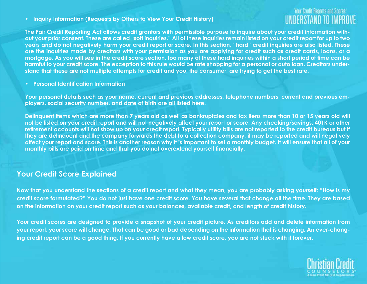**• Inquiry Information (Requests by Others to View Your Credit History)**

## **Your Credit Reports and Scores:**

**The Fair Credit Reporting Act allows credit grantors with permissible purpose to inquire about your credit information without your prior consent. These are called "soft inquiries." All of these inquiries remain listed on your credit report for up to two years and do not negatively harm your credit report or score. In this section, "hard" credit inquiries are also listed. These are the inquiries made by creditors with your permission as you are applying for credit such as credit cards, loans, or a mortgage. As you will see in the credit score section, too many of these hard inquiries within a short period of time can be harmful to your credit score. The exception to this rule would be rate shopping for a personal or auto loan. Creditors understand that these are not multiple attempts for credit and you, the consumer, are trying to get the best rate.**

**• Personal Identification Information** 

**Your personal details such as your name, current and previous addresses, telephone numbers, current and previous employers, social security number, and date of birth are all listed here.**

**Delinquent items which are more than 7 years old as well as bankruptcies and tax liens more than 10 or 15 years old will not be listed on your credit report and will not negatively affect your report or score. Any checking/savings, 401K or other retirement accounts will not show up on your credit report. Typically utility bills are not reported to the credit bureaus but if they are delinquent and the company forwards the debt to a collection company, it may be reported and will negatively affect your report and score. This is another reason why it is important to set a monthly budget. It will ensure that all of your monthly bills are paid on time and that you do not overextend yourself financially.**

#### **Your Credit Score Explained**

**Now that you understand the sections of a credit report and what they mean, you are probably asking yourself: "How is my credit score formulated?" You do not just have one credit score. You have several that change all the time. They are based on the information on your credit report such as your balances, available credit, and length of credit history.** 

**Your credit scores are designed to provide a snapshot of your credit picture. As creditors add and delete information from your report, your score will change. That can be good or bad depending on the information that is changing. An ever-changing credit report can be a good thing. If you currently have a low credit score, you are not stuck with it forever.**

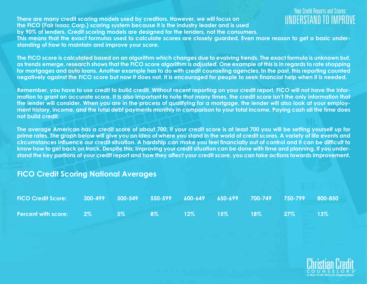**There are many credit scoring models used by creditors. However, we will focus on the FICO (Fair Isaac Corp.) scoring system because it is the industry leader and is used by 90% of lenders. Credit scoring models are designed for the lenders, not the consumers.**

## **Your Credit Reports and Scores**

**This means that the exact formulas used to calculate scores are closely guarded. Even more reason to get a basic understanding of how to maintain and improve your score.**

**The FICO score is calculated based on an algorithm which changes due to evolving trends. The exact formula is unknown but, as trends emerge, research shows that the FICO score algorithm is adjusted. One example of this is in regards to rate shopping for mortgages and auto loans. Another example has to do with credit counseling agencies. In the past, this reporting counted negatively against the FICO score but now it does not. It is encouraged for people to seek financial help when it is needed.** 

**Remember, you have to use credit to build credit. Without recent reporting on your credit report, FICO will not have the information to grant an accurate score. It is also important to note that many times, the credit score isn't the only information that the lender will consider. When you are in the process of qualifying for a mortgage, the lender will also look at your employment history, income, and the total debt payments monthly in comparison to your total income. Paying cash all the time does not build credit.** 

**The average American has a credit score of about 700. If your credit score is at least 700 you will be setting yourself up for prime rates. The graph below will give you an idea of where you stand in the world of credit scores. A variety of life events and circumstances influence our credit situation. A hardship can make you feel financially out of control and it can be difficult to know how to get back on track. Despite this, improving your credit situation can be done with time and planning. If you understand the key portions of your credit report and how they affect your credit score, you can take actions towards improvement.**

## **FICO Credit Scoring National Averages FICO Credit Score: 300-499 500-549 550-599 600-649 650-699 700-749 750-799 800-850 Percent with score: 2% 5% 8% 12% 15% 18% 27% 13%**



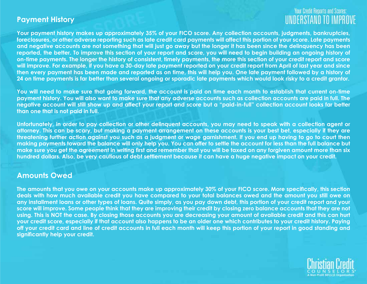#### **Payment History**

### **Your Credit Reports and Scores:** UNDERSTAND TO IMPROV

**Your payment history makes up approximately 35% of your FICO score. Any collection accounts, judgments, bankruptcies, foreclosures, or other adverse reporting such as late credit card payments will affect this portion of your score. Late payments and negative accounts are not something that will just go away but the longer it has been since the delinquency has been reported, the better. To improve this section of your report and score, you will need to begin building an ongoing history of on-time payments. The longer the history of consistent, timely payments, the more this section of your credit report and score will improve. For example, if you have a 30-day late payment reported on your credit report from April of last year and since then every payment has been made and reported as on time, this will help you. One late payment followed by a history of 24 on time payments is far better than several ongoing or sporadic late payments which would look risky to a credit grantor.**

**You will need to make sure that going forward, the account is paid on time each month to establish that current on-time payment history. You will also want to make sure that any adverse accounts such as collection accounts are paid in full. The negative account will still show up and affect your report and score but a "paid-in-full" collection account looks far better than one that is not paid in full.**

**Unfortunately, in order to pay collection or other delinquent accounts, you may need to speak with a collection agent or attorney. This can be scary, but making a payment arrangement on these accounts is your best bet, especially if they are threatening further action against you such as a judgment or wage garnishment. If you end up having to go to court then making payments toward the balance will only help you. You can offer to settle the account for less than the full balance but make sure you get the agreement in writing first and remember that you will be taxed on any forgiven amount more than six hundred dollars. Also, be very cautious of debt settlement because it can have a huge negative impact on your credit.** 

#### **Amounts Owed**

**The amounts that you owe on your accounts make up approximately 30% of your FICO score. More specifically, this section deals with how much available credit you have compared to your total balances owed and the amount you still owe on any installment loans or other types of loans. Quite simply, as you pay down debt, this portion of your credit report and your score will improve. Some people think that they are improving their credit by closing zero balance accounts that they are not using. This is NOT the case. By closing those accounts you are decreasing your amount of available credit and this can hurt your credit score, especially if that account also happens to be an older one which contributes to your credit history. Paying off your credit card and line of credit accounts in full each month will keep this portion of your report in good standing and significantly help your credit.**

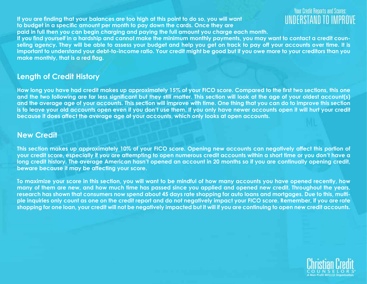**If you are finding that your balances are too high at this point to do so, you will want to budget in a specific amount per month to pay down the cards. Once they are paid in full then you can begin charging and paying the full amount you charge each month.**

#### **Your Credit Reports and Scores** UNDERSTAND TO

**If you find yourself in a hardship and cannot make the minimum monthly payments, you may want to contact a credit counseling agency. They will be able to assess your budget and help you get on track to pay off your accounts over time. It is important to understand your debt-to-income ratio. Your credit might be good but if you owe more to your creditors than you make monthly, that is a red flag.**

#### **Length of Credit History**

**How long you have had credit makes up approximately 15% of your FICO score. Compared to the first two sections, this one and the two following are far less significant but they still matter. This section will look at the age of your oldest account(s) and the average age of your accounts. This section will improve with time. One thing that you can do to improve this section**  is to leave your old accounts open even if you don't use them. If you only have newer accounts open it will hurt your credit **because it does affect the average age of your accounts, which only looks at open accounts.**

#### **New Credit**

**This section makes up approximately 10% of your FICO score. Opening new accounts can negatively affect this portion of your credit score, especially if you are attempting to open numerous credit accounts within a short time or you don't have a long credit history. The average American hasn't opened an account in 20 months so if you are continually opening credit, beware because it may be affecting your score.**

**To maximize your score in this section, you will want to be mindful of how many accounts you have opened recently, how many of them are new, and how much time has passed since you applied and opened new credit. Throughout the years, research has shown that consumers now spend about 45 days rate shopping for auto loans and mortgages. Due to this, multiple inquiries only count as one on the credit report and do not negatively impact your FICO score. Remember, if you are rate shopping for one loan, your credit will not be negatively impacted but it will if you are continuing to open new credit accounts.** 

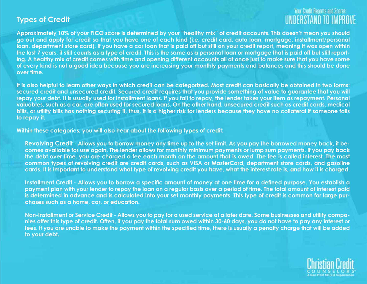#### **Types of Credit**

### **Your Credit Reports and Scores:** UNDERSTAND TO IMPROV

**Approximately 10% of your FICO score is determined by your "healthy mix" of credit accounts. This doesn't mean you should go out and apply for credit so that you have one of each kind (i.e. credit card, auto loan, mortgage, installment/personal loan, department store card). If you have a car loan that is paid off but still on your credit report, meaning it was open within the last 7 years, it still counts as a type of credit. This is the same as a personal loan or mortgage that is paid off but still reporting. A healthy mix of credit comes with time and opening different accounts all at once just to make sure that you have some of every kind is not a good idea because you are increasing your monthly payments and balances and this should be done over time.**

**It is also helpful to learn other ways in which credit can be categorized. Most credit can basically be obtained in two forms: secured credit and unsecured credit. Secured credit requires that you provide something of value to guarantee that you will repay your debt. It is usually used for installment loans. If you fail to repay, the lender takes your item as repayment. Personal valuables, such as a car, are often used for secured loans. On the other hand, unsecured credit such as credit cards, medical bills, or utility bills has nothing securing it, thus, it is a higher risk for lenders because they have no collateral if someone fails to repay it.** 

**Within these categories, you will also hear about the following types of credit:**

**Revolving Credit - Allows you to borrow money any time up to the set limit. As you pay the borrowed money back, it becomes available for use again. The lender allows for monthly minimum payments or lump sum payments. If you pay back the debt over time, you are charged a fee each month on the amount that is owed. The fee is called interest. The most common types of revolving credit are credit cards, such as VISA or MasterCard, department store cards, and gasoline cards. It is important to understand what type of revolving credit you have, what the interest rate is, and how it is charged.**

**Installment Credit - Allows you to borrow a specific amount of money at one time for a defined purpose. You establish a payment plan with your lender to repay the loan on a regular basis over a period of time. The total amount of interest paid is determined in advance and is calculated into your set monthly payments. This type of credit is common for large purchases such as a home, car, or education.**

**Non-installment or Service Credit - Allows you to pay for a used service at a later date. Some businesses and utility companies offer this type of credit. Often, if you pay the total sum owed within 30-60 days, you do not have to pay any interest or fees. If you are unable to make the payment within the specified time, there is usually a penalty charge that will be added to your debt.** 

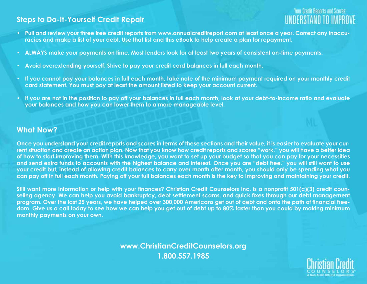#### **Steps to Do-It-Yourself Credit Repair**

## **Your Credit Reports and Scores**

- **• Pull and review your three free credit reports from www.annualcreditreport.com at least once a year. Correct any inaccuracies and make a list of your debt. Use that list and this eBook to help create a plan for repayment.**
- **• ALWAYS make your payments on time. Most lenders look for at least two years of consistent on-time payments.**
- **• Avoid overextending yourself. Strive to pay your credit card balances in full each month.**
- **• If you cannot pay your balances in full each month, take note of the minimum payment required on your monthly credit card statement. You must pay at least the amount listed to keep your account current.**
- **• If you are not in the position to pay off your balances in full each month, look at your debt-to-income ratio and evaluate your balances and how you can lower them to a more manageable level.**

#### **What Now?**

**Once you understand your credit reports and scores in terms of these sections and their value, it is easier to evaluate your current situation and create an action plan. Now that you know how credit reports and scores "work," you will have a better idea of how to start improving them. With this knowledge, you want to set up your budget so that you can pay for your necessities and send extra funds to accounts with the highest balance and interest. Once you are "debt free," you will still want to use your credit but, instead of allowing credit balances to carry over month after month, you should only be spending what you can pay off in full each month. Paying off your full balances each month is the key to improving and maintaining your credit.**

**Still want more information or help with your finances? Christian Credit Counselors Inc. is a nonprofit 501(c)(3) credit counseling agency. We can help you avoid bankruptcy, debt settlement scams, and quick fixes through our debt management program. Over the last 25 years, we have helped over 300,000 Americans get out of debt and onto the path of financial freedom. Give us a call today to see how we can help you get out of debt up to 80% faster than you could by making minimum monthly payments on your own.**

> **www.ChristianCreditCounselors.org 1.800.557.1985**